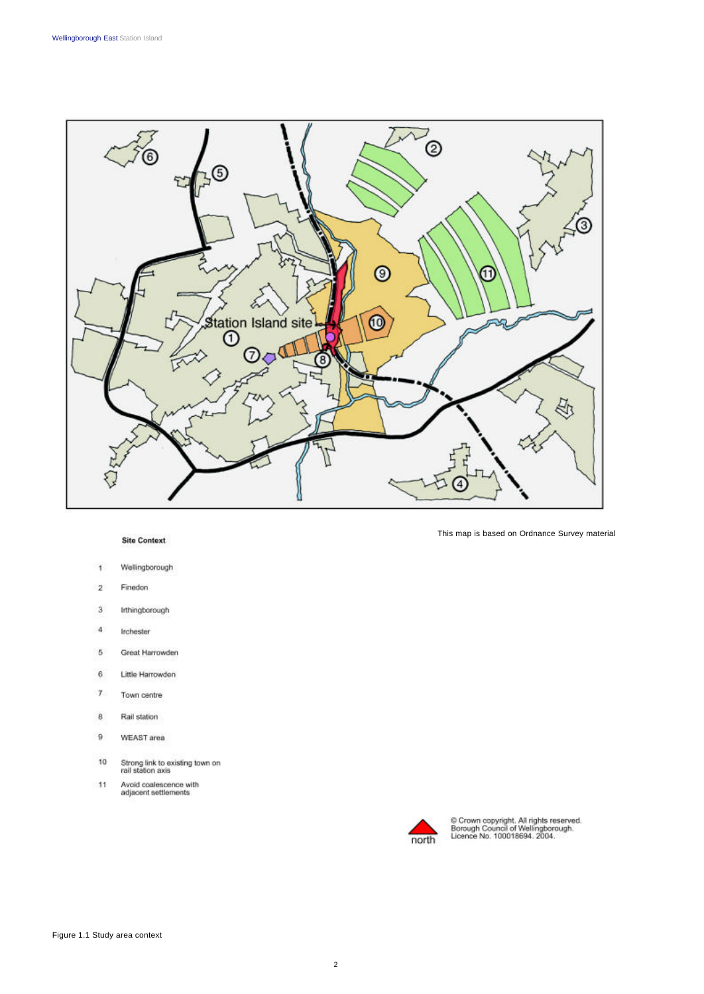

## **Site Context**

- Wellingborough  $\overline{1}$
- $\overline{2}$ Finedon
- $\sqrt{3}$ Irthingborough
- $\overline{\mathbf{4}}$ Irchester
- 5 Great Harrowden
- $\overline{6}$ Little Harrowden
- $\tau$ Town centre
- $\bf{8}$ Rail station
- $\,9$ WEAST area
- Strong link to existing town on<br>rail station axis 10
- Avoid coalescence with<br>adjacent settlements  $11$

This map is based on Ordnance Survey material



© Crown copyright. All rights reserved.<br>Borough Council of Wellingborough.<br>Licence No. 100018694. 2004.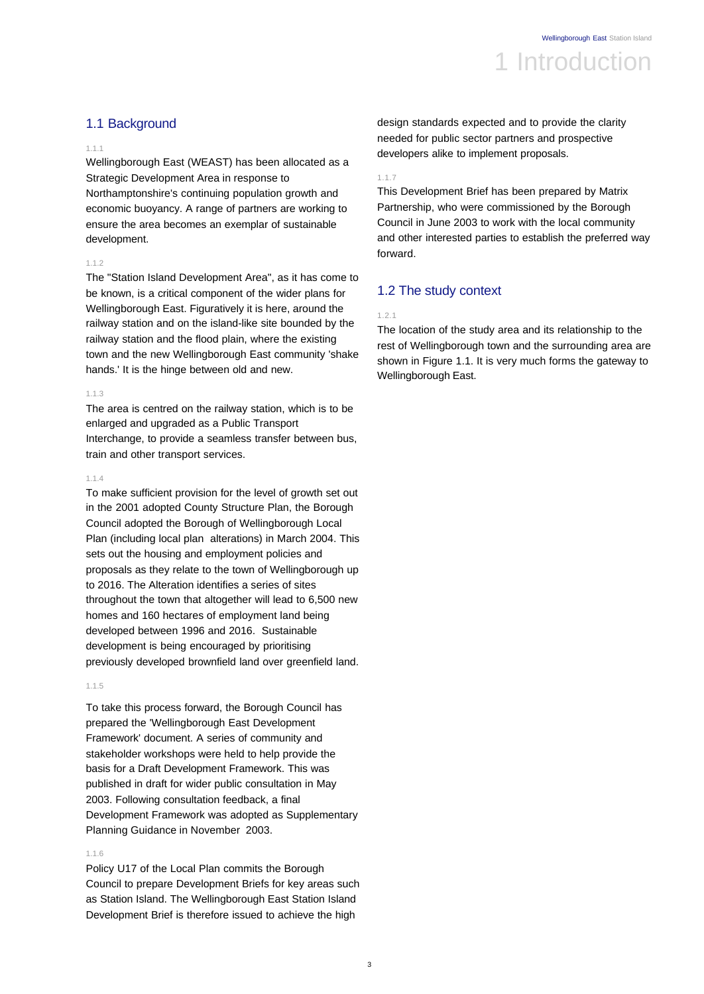# 1.1 Background

### 1.1.1

Wellingborough East (WEAST) has been allocated as a Strategic Development Area in response to Northamptonshire's continuing population growth and economic buoyancy. A range of partners are working to ensure the area becomes an exemplar of sustainable development.

# 1.1.2

The "Station Island Development Area", as it has come to be known, is a critical component of the wider plans for Wellingborough East. Figuratively it is here, around the railway station and on the island-like site bounded by the railway station and the flood plain, where the existing town and the new Wellingborough East community 'shake hands.' It is the hinge between old and new.

### 1.1.3

The area is centred on the railway station, which is to be enlarged and upgraded as a Public Transport Interchange, to provide a seamless transfer between bus, train and other transport services.

### 1.1.4

To make sufficient provision for the level of growth set out in the 2001 adopted County Structure Plan, the Borough Council adopted the Borough of Wellingborough Local Plan (including local plan alterations) in March 2004. This sets out the housing and employment policies and proposals as they relate to the town of Wellingborough up to 2016. The Alteration identifies a series of sites throughout the town that altogether will lead to 6,500 new homes and 160 hectares of employment land being developed between 1996 and 2016. Sustainable development is being encouraged by prioritising previously developed brownfield land over greenfield land.

### 1.1.5

To take this process forward, the Borough Council has prepared the 'Wellingborough East Development Framework' document. A series of community and stakeholder workshops were held to help provide the basis for a Draft Development Framework. This was published in draft for wider public consultation in May 2003. Following consultation feedback, a final Development Framework was adopted as Supplementary Planning Guidance in November 2003.

### 1.1.6

Policy U17 of the Local Plan commits the Borough Council to prepare Development Briefs for key areas such as Station Island. The Wellingborough East Station Island Development Brief is therefore issued to achieve the high

design standards expected and to provide the clarity needed for public sector partners and prospective developers alike to implement proposals.

#### 1.1.7

This Development Brief has been prepared by Matrix Partnership, who were commissioned by the Borough Council in June 2003 to work with the local community and other interested parties to establish the preferred way forward.

# 1.2 The study context

### 1.2.1

The location of the study area and its relationship to the rest of Wellingborough town and the surrounding area are shown in Figure 1.1. It is very much forms the gateway to Wellingborough East.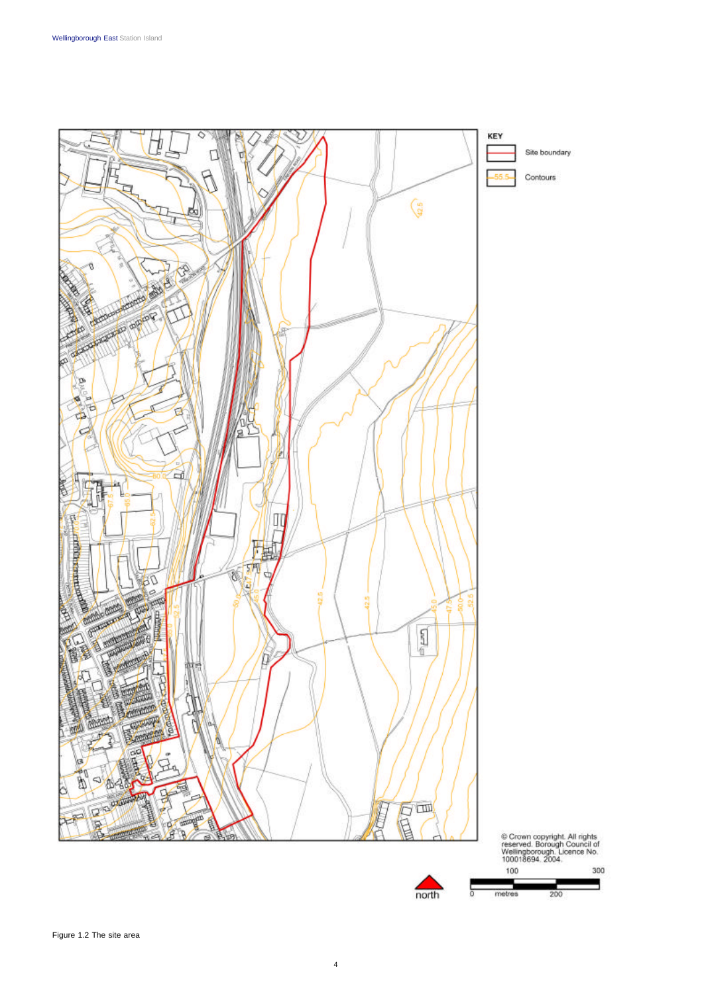

4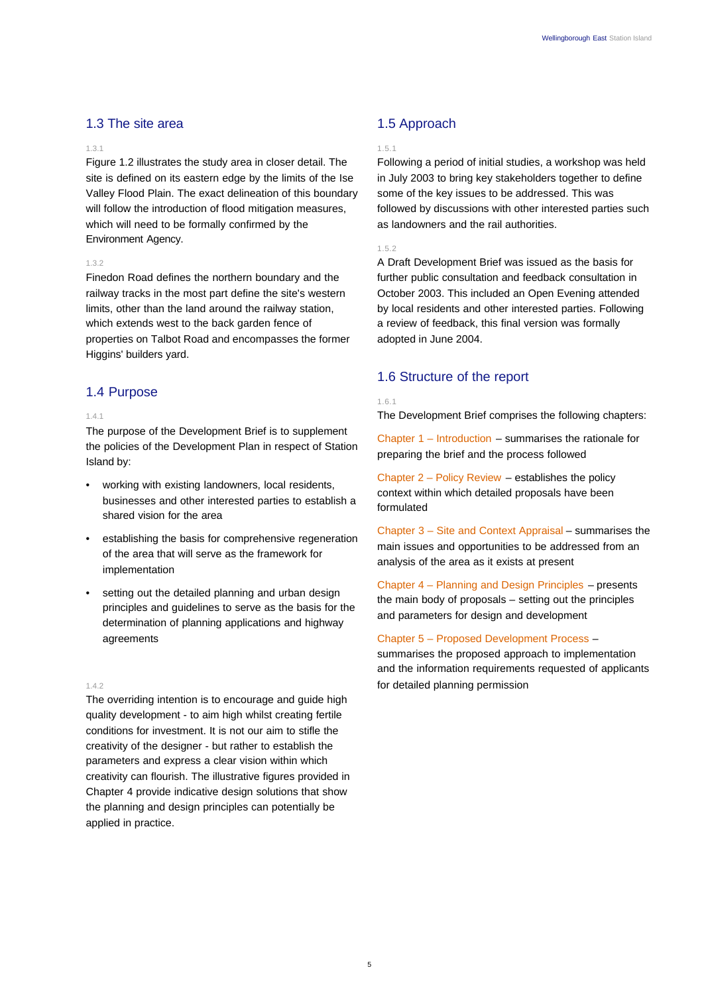# 1.3 The site area

#### 1.3.1

Figure 1.2 illustrates the study area in closer detail. The site is defined on its eastern edge by the limits of the Ise Valley Flood Plain. The exact delineation of this boundary will follow the introduction of flood mitigation measures, which will need to be formally confirmed by the Environment Agency.

# 1.3.2

Finedon Road defines the northern boundary and the railway tracks in the most part define the site's western limits, other than the land around the railway station, which extends west to the back garden fence of properties on Talbot Road and encompasses the former Higgins' builders yard.

# 1.4 Purpose

### 1.4.1

The purpose of the Development Brief is to supplement the policies of the Development Plan in respect of Station Island by:

- working with existing landowners, local residents, businesses and other interested parties to establish a shared vision for the area
- establishing the basis for comprehensive regeneration of the area that will serve as the framework for implementation
- setting out the detailed planning and urban design principles and guidelines to serve as the basis for the determination of planning applications and highway agreements

#### 1.4.2

The overriding intention is to encourage and guide high quality development - to aim high whilst creating fertile conditions for investment. It is not our aim to stifle the creativity of the designer - but rather to establish the parameters and express a clear vision within which creativity can flourish. The illustrative figures provided in Chapter 4 provide indicative design solutions that show the planning and design principles can potentially be applied in practice.

# 1.5 Approach

### 1.5.1

Following a period of initial studies, a workshop was held in July 2003 to bring key stakeholders together to define some of the key issues to be addressed. This was followed by discussions with other interested parties such as landowners and the rail authorities.

## 1.5.2

A Draft Development Brief was issued as the basis for further public consultation and feedback consultation in October 2003. This included an Open Evening attended by local residents and other interested parties. Following a review of feedback, this final version was formally adopted in June 2004.

# 1.6 Structure of the report

#### 1.6.1

The Development Brief comprises the following chapters:

Chapter 1 – Introduction – summarises the rationale for preparing the brief and the process followed

Chapter 2 – Policy Review – establishes the policy context within which detailed proposals have been formulated

Chapter 3 – Site and Context Appraisal – summarises the main issues and opportunities to be addressed from an analysis of the area as it exists at present

Chapter 4 – Planning and Design Principles – presents the main body of proposals – setting out the principles and parameters for design and development

# Chapter 5 – Proposed Development Process –

summarises the proposed approach to implementation and the information requirements requested of applicants for detailed planning permission